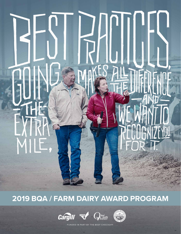# $\prod$  $\widehat{\text{M}}$

**2019 BQA / FARM DAIRY AWARD PROGRAM**







FUNDED IN PART BY THE BEEF CHECKOFF.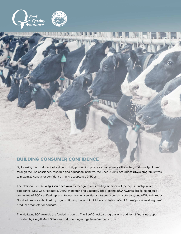





## BUILDING CONSUMER CONFIDENCE

By focusing the producer's attention to daily production practices that influence the safety and quality of beef through the use of science, research and education initiative, the Beef Quality Assurance (BQA) program strives to maximize consumer confidence in and acceptance of beef.

The National Beef Quality Assurance Awards recognize outstanding members of the beef industry in five categories: Cow-Calf, Feedyard, Dairy, Marketer, and Educator. The National BQA Awards are selected by a committee of BQA certified representatives from universities, state beef councils, sponsors, and affiliated groups. Nominations are submitted by organizations, groups or individuals on behalf of a U.S. beef producer, dairy beef producer, marketer or educator.

The National BQA Awards are funded in part by The Beef Checkoff program with additional financial support provided by Cargill Meat Solutions and Boehringer Ingelheim Vetmedica, Inc.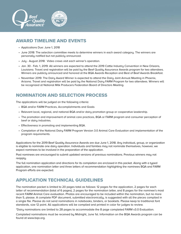

# AWARD TIMELINE AND EVENTS

- Applications Due: June 1, 2018
- June 2018: The selection committee meets to determine winners in each award category. The winners are personally notified but not publicly announced.
- July August 2018: Video crews visit each winner's operation.
- Jan. 30 Feb. 1, 2019: All winners are expected to attend the 2019 Cattle Industry Convention in New Orleans, Louisiana. Travel and registration will be paid by the Beef Quality Assurance Awards program for two attendees. Winners are publicly announced and honored at the BQA Awards Reception and Best of Beef Awards Breakfast.
- November 2019: The Dairy Award Winner is expected to attend the Dairy Joint Annual Meeting in Phoenix, Arizona. Travel and registration will be paid by the National Dairy FARM Program for two attendees. Winners will be recognized at National Milk Producers Federation Board of Directors Meeting.

### NOMINATION AND SELECTION PROCESS

The applications will be judged on the following criteria:

- BQA and/or FARM Practices, Accomplishments and Goals
- Relevant local, regional, and national BQA and/or dairy promotion group or cooperative leadership.
- The promotion and improvement of animal care practices, BQA or FARM program and consumer perception of beef or dairy industries.
- Effectiveness in promoting and implementing BQA.
- Completion of the National Dairy FARM Program Version 3.0 Animal Care Evaluation and implementation of the program requirements.

Applications for the 2019 Beef Quality Assurance Awards are due June 1, 2018. Any individual, group, or organization is eligible to nominate one dairy operation. Individuals and families may not nominate themselves, however, we expect nominees to be involved in the preparation of the application.

Past nominees are encouraged to submit updated versions of previous nominations. Previous winners may not reapply.

The full nomination application and directions for its completion are enclosed in this packet. Along with a typed application, one nomination letter and three letters of recommendation highlighting the nominees BQA and FARM Program efforts are expected.

## APPLICATION TECHNICAL GUIDELINES

The nomination packet is limited to 20 pages total as follows: 12 pages for the application, 2 pages for each letter of recommendation (total of 6 pages), 2 pages for the nomination letter, and 8 pages for the nominee's most recent FARM Animal Care evaluation. Photos are encouraged to be included within the nomination, but no more than 5, please. A complete PDF document, submitted electronically, is suggested with all the pieces compiled in a single file. Please do not send nominations in notebooks, binders, or booklets. Please keep to traditional font standards, size 12 point. All applications will be compiled and printed in color for judges to review.

\*Dairy nominations are limited to 28 pages to accommodate the 8 page completed FARM v3.0 Evaluation.

Completed nominations must be received by Midnight, June 1st. Information on the BQA Awards program can be found at www.bqa.org.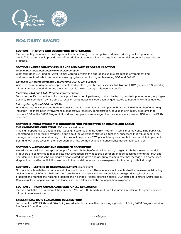

# BQA DAIRY AWARD

#### SECTION I – HISTORY AND DESCRIPTION OF OPERATION

Please identify the name of the dairy farm, the individual(s) to be recognized, address, primary contact, phone and email. This section would provide a brief description of the operation's history, business model and/or unique production practices.

#### SECTION II – BEEF QUALITY ASSURANCE AND FARM PROGRAM IN ACTION

#### *Unique BQA Implementation/FARM Implementation*

What form does BQA and/or FARM Animal Care take within the operations unique production environment and business structure? What are the nominees trying to accomplish by implementing BQA and FARM?

#### *Outcomes & Accomplishments: Documenting BQA/FARM Success*

What are the management accomplishments and goals of your business specific to BQA and FARM guidelines? Supporting information, benchmark data and measured results are encouraged. Please be specific.

#### *Innovative BQA and FARM Program Implementation*

Describe specific, innovative animal care practices in detail pertaining, but not limited to, on-site implementation, employee training, transportation, etc. Be sure to focus on what makes this operation unique related to BQA and FARM guidelines.

#### *Industry Perception of BQA and FARM*

How does your business contribute to a positive public perception of the impact of BQA and FARM in the beef and dairy industry? Has there been involvement in cooperative research, demonstration, education or industry programs that promote BQA or the FARM Program? How does the operator encourage other producers to implement BQA and the FARM program?

#### SECTION III - WHAT WOULD THE CONSUMER FIND INTERESTING OR COMPELLING ABOUT

#### **THE CANDIDATES OPERATION** (200 words maximum)

This is an opportunity to put both Beef Quality Assurance and the FARM Program in terms that the consuming public will understand and appreciate. What is unique about the operations strategies, tactics or successes that will appeal to the average consumers understanding of milk production practices? Why should anyone care that the candidate implements BQA and FARM practices on their operation and how do their actions enhance consumer confidence in beef?

#### SECTION IV – ADVOCACY AND CONSUMER CONFIDENCE

Award winners will become spokespeople for the both the beef and milk industry, carrying forth the message that dairy producers are committed to responsible milk production. How does this operation engage consumers to further milk and beef demand? How has the candidate demonstrated the drive and ability to communicate that message to a sometimes skeptical and hostile public? How well would the candidate serve as spokesperson for the dairy cattle industry?

#### **SECTION V - LETTERS OF RECOMMENDATION (3 maximum)**

No more than three letters of recommendation should be included. These letters should emphasize the nominee's outstanding implementation of BQA and FARM Animal Care. Recommendations can come from fellow dairy producers, local or state organizations, foundations, national organizations, neighbors, friends, extension agents, BQA state coordinators, FARM Animal Care evaluators, cooperative staff and leadership. Each letter should be no longer than two pages.

#### SECTION VI – FARM ANIMAL CARE VERSION 3.0 EVALUATION

Please attach the PDF Version of the nominee's Version 3.0 FARM Animal Care Evaluation in addition to signed nominee information release form.

#### FARM ANIMAL CARE EVALUATION RELEASE FORM

I approve the 2019 FARM and BQA Dairy Award selection committee reviewing my National Dairy FARM Program Version 3.0 Animal Care Evaluation.

| Name (printed): | Name (signed): |
|-----------------|----------------|
|                 |                |
|                 |                |

Farm Name:\_\_\_\_\_\_\_\_\_\_\_\_\_\_\_\_\_\_\_\_\_\_\_\_\_\_\_\_\_\_\_\_\_\_\_\_\_\_\_ Farm Address:\_\_\_\_\_\_\_\_\_\_\_\_\_\_\_\_\_\_\_\_\_\_\_\_\_\_\_\_\_\_\_\_\_\_\_\_\_\_\_